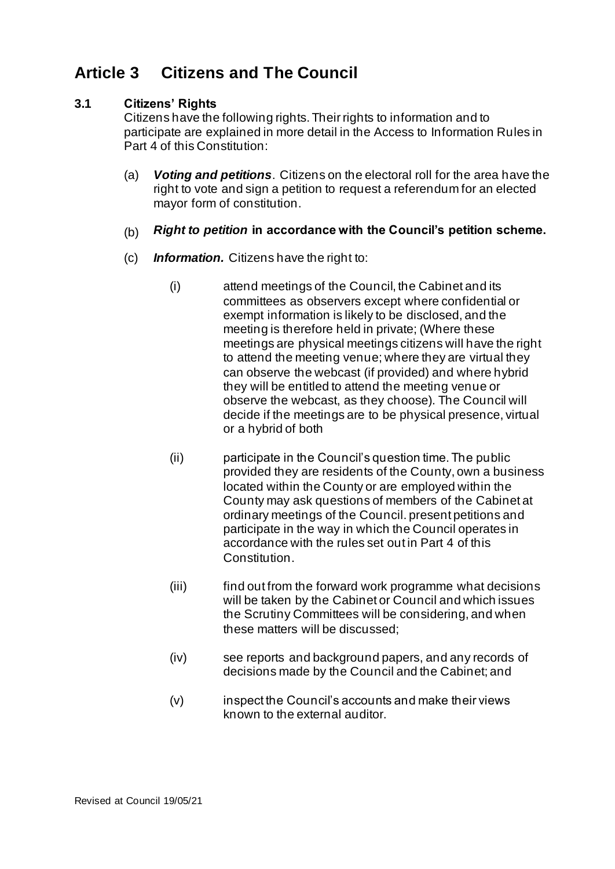## **Article 3 Citizens and The Council**

## **3.1 Citizens' Rights**

Citizens have the following rights. Their rights to information and to participate are explained in more detail in the Access to Information Rules in Part 4 of this Constitution:

- (a) *Voting and petitions*. Citizens on the electoral roll for the area have the right to vote and sign a petition to request a referendum for an elected mayor form of constitution.
- $(b)$ *Right to petition* **in accordance with the Council's petition scheme.**
- (c) *Information.* Citizens have the right to:
	- (i) attend meetings of the Council, the Cabinet and its committees as observers except where confidential or exempt information is likely to be disclosed, and the meeting is therefore held in private; (Where these meetings are physical meetings citizens will have the right to attend the meeting venue; where they are virtual they can observe the webcast (if provided) and where hybrid they will be entitled to attend the meeting venue or observe the webcast, as they choose). The Council will decide if the meetings are to be physical presence, virtual or a hybrid of both
	- (ii) participate in the Council's question time. The public provided they are residents of the County, own a business located within the County or are employed within the County may ask questions of members of the Cabinet at ordinary meetings of the Council. present petitions and participate in the way in which the Council operates in accordance with the rules set out in Part 4 of this Constitution.
	- (iii) find out from the forward work programme what decisions will be taken by the Cabinet or Council and which issues the Scrutiny Committees will be considering, and when these matters will be discussed;
	- (iv) see reports and background papers, and any records of decisions made by the Council and the Cabinet; and
	- (v) inspect the Council's accounts and make their views known to the external auditor.